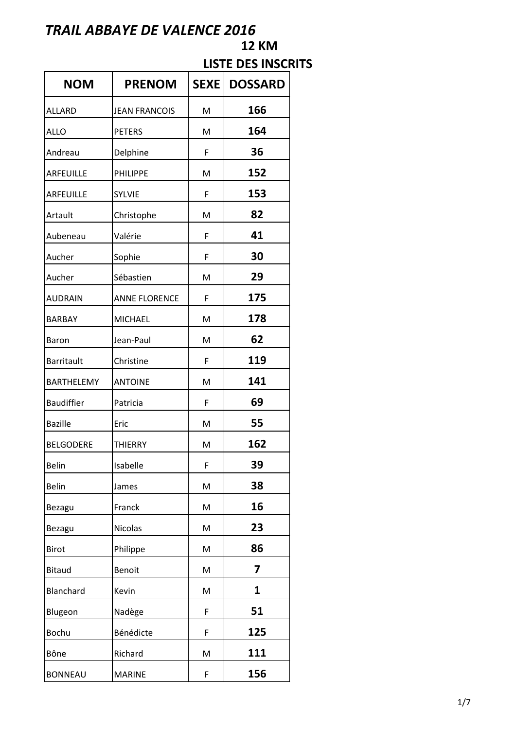# **NOM PRENOM SEXE** DOSSARD ALLARD **JEAN FRANCOIS** M **166** ALLO PETERS M **164** Andreau Delphine | F | 36 ARFEUILLE PHILIPPE | M | 152 ARFEUILLE SYLVIE | F | **153** Artault **Christophe** M **82** Aubeneau Valérie F **41** Aucher Sophie F 30 Aucher Sébastien | M | **29** AUDRAIN ANNE FLORENCE F **175** BARBAY MICHAEL | M | **178** Baron Jean-Paul M **62** Barritault Christine | F | **119** BARTHELEMY ANTOINE | M | **141** Baudiffier Patricia **F 69** Bazille Eric M **55** BELGODERE THIERRY | M | **162** Belin Isabelle **F** 39 Belin **James** M **38** Bezagu **Franck** M M 16 Bezagu | Nicolas | M | **23** Birot **Philippe** M **86** Bitaud Benoit M **7** Blanchard Kevin M **1** Blugeon **Nadège** F **51** Bochu Bénédicte F **125** Bône Richard **M** 111 BONNEAU MARINE F **156**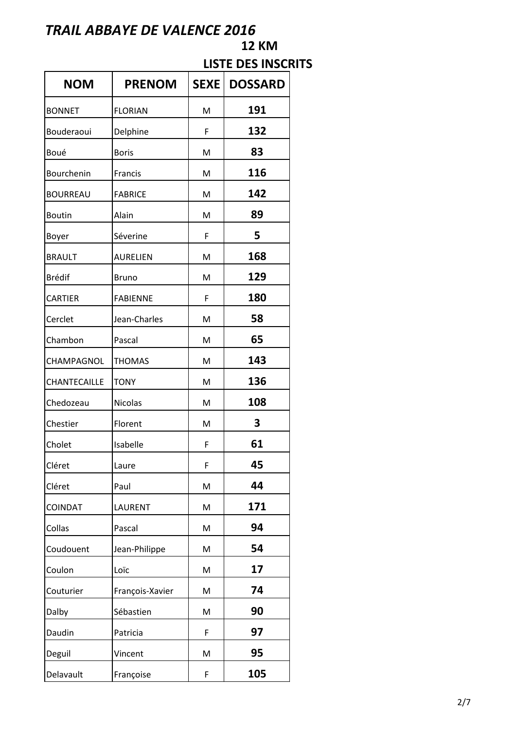| <b>NOM</b>      | <b>PRENOM</b>   |   | <b>SEXE   DOSSARD</b> |
|-----------------|-----------------|---|-----------------------|
| <b>BONNET</b>   | <b>FLORIAN</b>  | M | 191                   |
| Bouderaoui      | Delphine        | F | 132                   |
| Boué            | <b>Boris</b>    | M | 83                    |
| Bourchenin      | Francis         | M | 116                   |
| <b>BOURREAU</b> | <b>FABRICE</b>  | M | 142                   |
| <b>Boutin</b>   | Alain           | M | 89                    |
| Boyer           | Séverine        | F | 5                     |
| <b>BRAULT</b>   | <b>AURELIEN</b> | M | 168                   |
| <b>Brédif</b>   | <b>Bruno</b>    | M | 129                   |
| <b>CARTIER</b>  | <b>FABIENNE</b> | F | 180                   |
| Cerclet         | Jean-Charles    | M | 58                    |
| Chambon         | Pascal          | M | 65                    |
| CHAMPAGNOL      | <b>THOMAS</b>   | M | 143                   |
| CHANTECAILLE    | <b>TONY</b>     | M | 136                   |
| Chedozeau       | Nicolas         | M | 108                   |
| Chestier        | Florent         | M | 3                     |
| Cholet          | Isabelle        | F | 61                    |
| Cléret          | Laure           | F | 45                    |
| Cléret          | Paul            | M | 44                    |
| <b>COINDAT</b>  | LAURENT         | M | 171                   |
| Collas          | Pascal          | M | 94                    |
| Coudouent       | Jean-Philippe   | M | 54                    |
| Coulon          | Loïc            | M | 17                    |
| Couturier       | François-Xavier | M | 74                    |
| Dalby           | Sébastien       | M | 90                    |
| Daudin          | Patricia        | F | 97                    |
| Deguil          | Vincent         | M | 95                    |
| Delavault       | Françoise       | F | 105                   |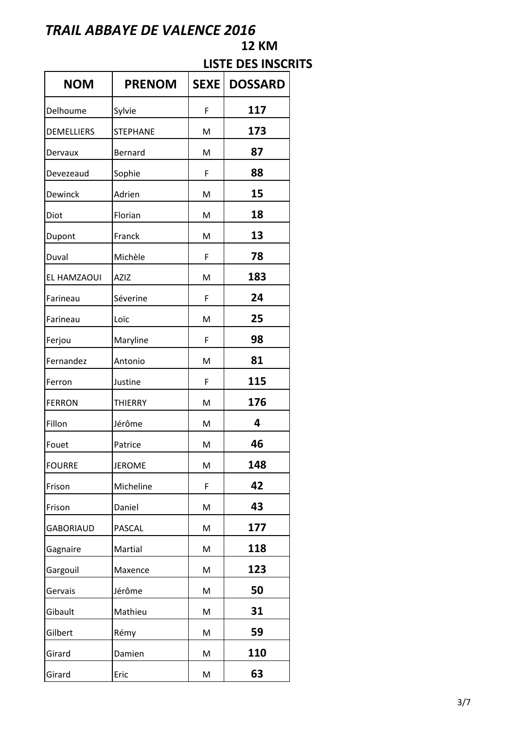| <b>NOM</b>        | <b>PRENOM</b>   | SEXE | <b>DOSSARD</b> |
|-------------------|-----------------|------|----------------|
| Delhoume          | Sylvie          | F    | 117            |
| <b>DEMELLIERS</b> | <b>STEPHANE</b> | M    | 173            |
| Dervaux           | Bernard         | M    | 87             |
| Devezeaud         | Sophie          | F    | 88             |
| <b>Dewinck</b>    | Adrien          | M    | 15             |
| Diot              | Florian         | M    | 18             |
| Dupont            | Franck          | M    | 13             |
| Duval             | Michèle         | F    | 78             |
| EL HAMZAOUI       | <b>AZIZ</b>     | M    | 183            |
| Farineau          | Séverine        | F    | 24             |
| Farineau          | Loïc            | M    | 25             |
| Ferjou            | Maryline        | F    | 98             |
| Fernandez         | Antonio         | M    | 81             |
| Ferron            | Justine         | F    | 115            |
| <b>FERRON</b>     | <b>THIERRY</b>  | M    | 176            |
| Fillon            | Jérôme          | M    | 4              |
| Fouet             | Patrice         | M    | 46             |
| <b>FOURRE</b>     | <b>JEROME</b>   | M    | 148            |
| Frison            | Micheline       | F    | 42             |
| Frison            | Daniel          | M    | 43             |
| <b>GABORIAUD</b>  | PASCAL          | M    | 177            |
| Gagnaire          | Martial         | M    | 118            |
| Gargouil          | Maxence         | M    | 123            |
| Gervais           | Jérôme          | M    | 50             |
| Gibault           | Mathieu         | M    | 31             |
| Gilbert           | Rémy            | M    | 59             |
| Girard            | Damien          | M    | 110            |
| Girard            | Eric            | M    | 63             |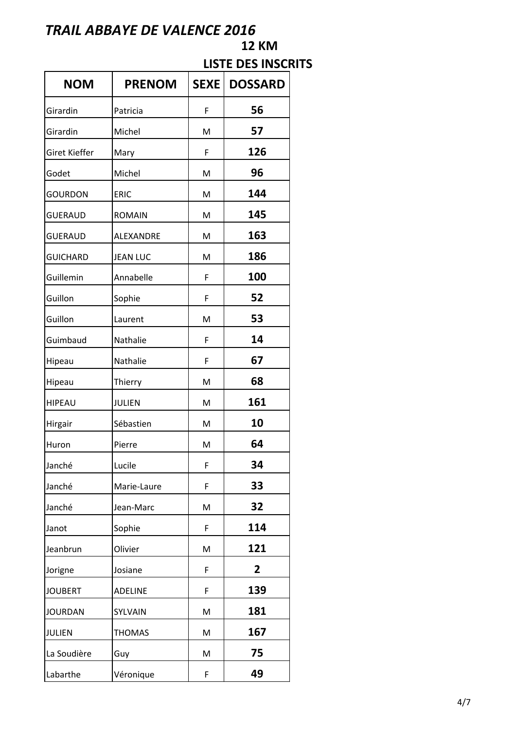| <b>NOM</b>           | <b>PRENOM</b>    | <b>SEXE</b> | <b>DOSSARD</b> |
|----------------------|------------------|-------------|----------------|
| Girardin             | Patricia         | F           | 56             |
| Girardin             | Michel           | M           | 57             |
| <b>Giret Kieffer</b> | Mary             | F           | 126            |
| Godet                | Michel           | M           | 96             |
| <b>GOURDON</b>       | <b>ERIC</b>      | M           | 144            |
| <b>GUERAUD</b>       | <b>ROMAIN</b>    | M           | 145            |
| <b>GUERAUD</b>       | <b>ALEXANDRE</b> | M           | 163            |
| <b>GUICHARD</b>      | <b>JEAN LUC</b>  | M           | 186            |
| Guillemin            | Annabelle        | F           | 100            |
| Guillon              | Sophie           | F           | 52             |
| Guillon              | Laurent          | M           | 53             |
| Guimbaud             | Nathalie         | F           | 14             |
| Hipeau               | Nathalie         | F           | 67             |
| Hipeau               | Thierry          | M           | 68             |
| <b>HIPEAU</b>        | <b>JULIEN</b>    | M           | 161            |
| Hirgair              | Sébastien        | M           | 10             |
| Huron                | Pierre           | M           | 64             |
| Janché               | Lucile           | F           | 34             |
| Janché               | Marie-Laure      | F           | 33             |
| Janché               | Jean-Marc        | M           | 32             |
| Janot                | Sophie           | F           | 114            |
| Jeanbrun             | Olivier          | M           | 121            |
| Jorigne              | Josiane          | F           | 2              |
| <b>JOUBERT</b>       | <b>ADELINE</b>   | F           | 139            |
| <b>JOURDAN</b>       | SYLVAIN          | M           | 181            |
| <b>JULIEN</b>        | <b>THOMAS</b>    | M           | 167            |
| La Soudière          | Guy              | M           | 75             |
| Labarthe             | Véronique        | F           | 49             |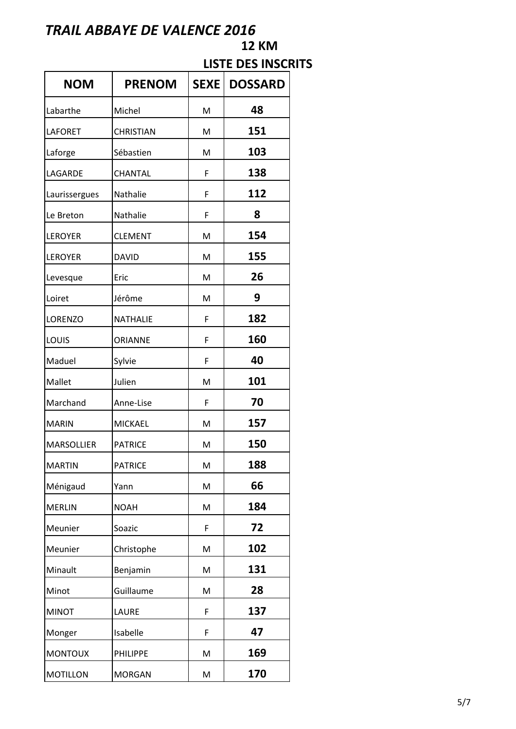# **NOM PRENOM SEXE DOSSARD** Labarthe Michel M **48** LAFORET CHRISTIAN | M | 151 Laforge Sébastien | M | **103** LAGARDE CHANTAL | F | **138** Laurissergues Nathalie **F 112** Le Breton Nathalie **F 8** LEROYER CLEMENT | M | **154** LEROYER DAVID | M | **155** Levesque Eric M M 26 Loiret Jerôme M **9** LORENZO NATHALIE F **182** LOUIS ORIANNE F **160** Maduel Sylvie F **40** Mallet |Julien | M | **101** Marchand Anne-Lise F **70** MARIN MICKAEL M **157** MARSOLLIER PATRICE M **150** MARTIN PATRICE M **188** Ménigaud Yann | M | **66** MERLIN NOAH M M 184 Meunier Soazic **F 72** Meunier Christophe M M 102 Minault Benjamin M **131** Minot Guillaume M M 28 MINOT LAURE F **137** Monger Isabelle **F 47** MONTOUX PHILIPPE M **169** MOTILLON MORGAN | M | **170**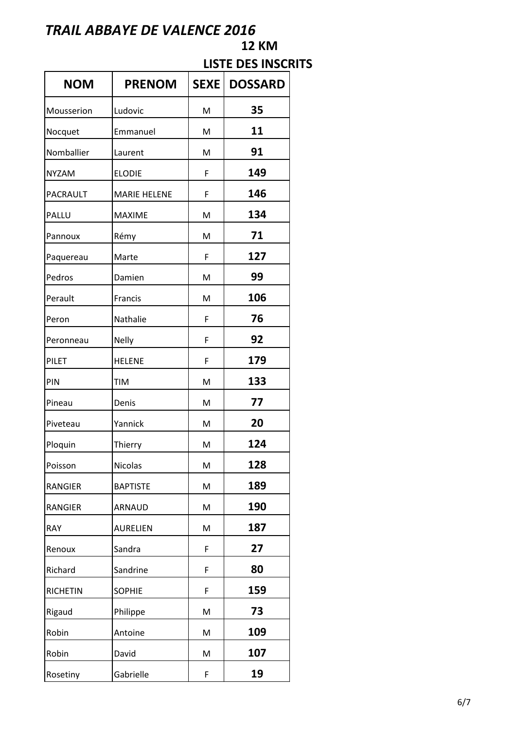# **NOM PRENOM SEXE DOSSARD** Mousserion Ludovic **M** M **35** Nocquet Emmanuel M **11** Nomballier Laurent M M 91 NYZAM ELODIE | F | **149** PACRAULT MARIE HELENE F | 146 PALLU MAXIME M M 134 Pannoux Rémy M **71** Paquereau Marte **F 127** Pedros Damien | M | 99 Perault **Francis** M **106** Peron Nathalie F **76** Peronneau Nelly **F 92** PILET **HELENE F 179** PIN TIM M **133** Pineau **Denis** M M 77 Piveteau **Yannick** M M 20 Ploquin Thierry M M 124 Poisson Nicolas | M | **128** RANGIER **BAPTISTE** M **189** RANGIER ARNAUD | M | 190 RAY **AURELIEN** M **187** Renoux Sandra **F 27** Richard Sandrine F 80 RICHETIN SOPHIE **F 159** Rigaud Philippe M **73** Robin Antoine M **109** Robin David M **107** Rosetiny Gabrielle **F 19**